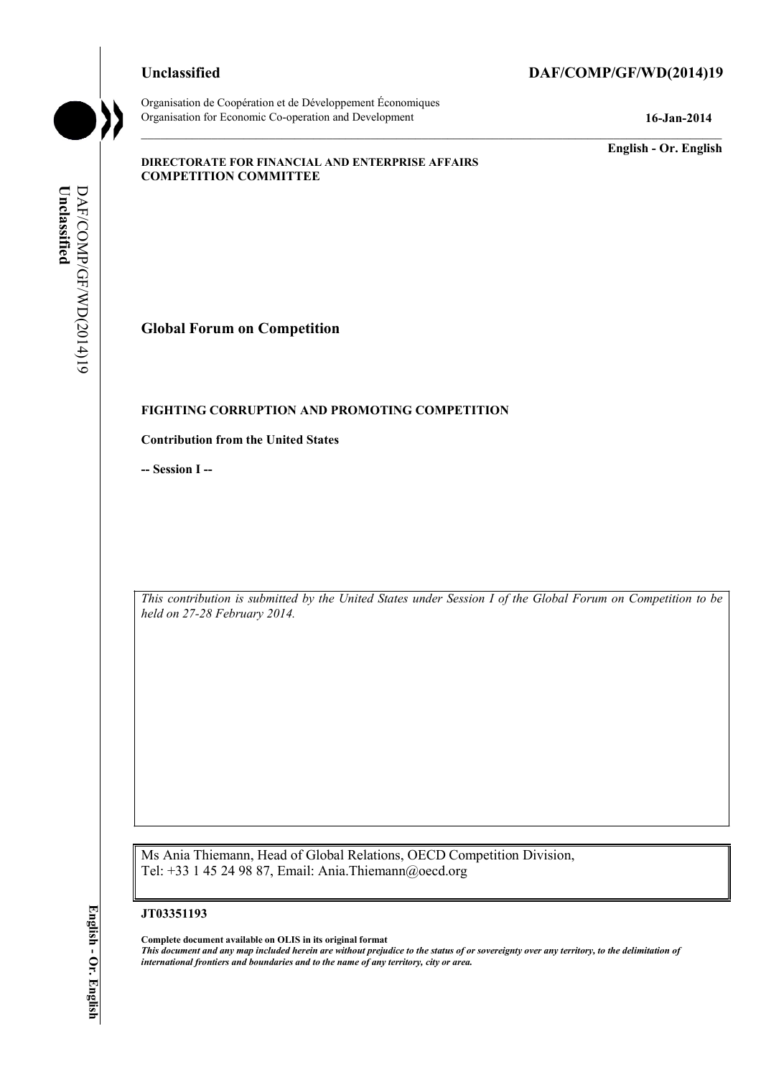Organisation de Coopération et de Développement Économiques Organisation for Economic Co-operation and Development **16-Jan-2014** 

# **Unclassified DAF/COMP/GF/WD(2014)19**

**English - Or. English** 

### **DIRECTORATE FOR FINANCIAL AND ENTERPRISE AFFAIRS COMPETITION COMMITTEE**

Unclassified **Unclassified**  DAF/COMP/GF/WD(2014)19 DAF/COMP/GF/WD(2014)19

**Global Forum on Competition** 

## **FIGHTING CORRUPTION AND PROMOTING COMPETITION**

### **Contribution from the United States**

**-- Session I --** 

 *This contribution is submitted by the United States under Session I of the Global Forum on Competition to be held on 27-28 February 2014.* 

Ms Ania Thiemann, Head of Global Relations, OECD Competition Division, Tel: +33 1 45 24 98 87, Email: Ania.Thiemann@oecd.org

#### **JT03351193**

 **Complete document available on OLIS in its original format**   *This document and any map included herein are without prejudice to the status of or sovereignty over any territory, to the delimitation of international frontiers and boundaries and to the name of any territory, city or area.*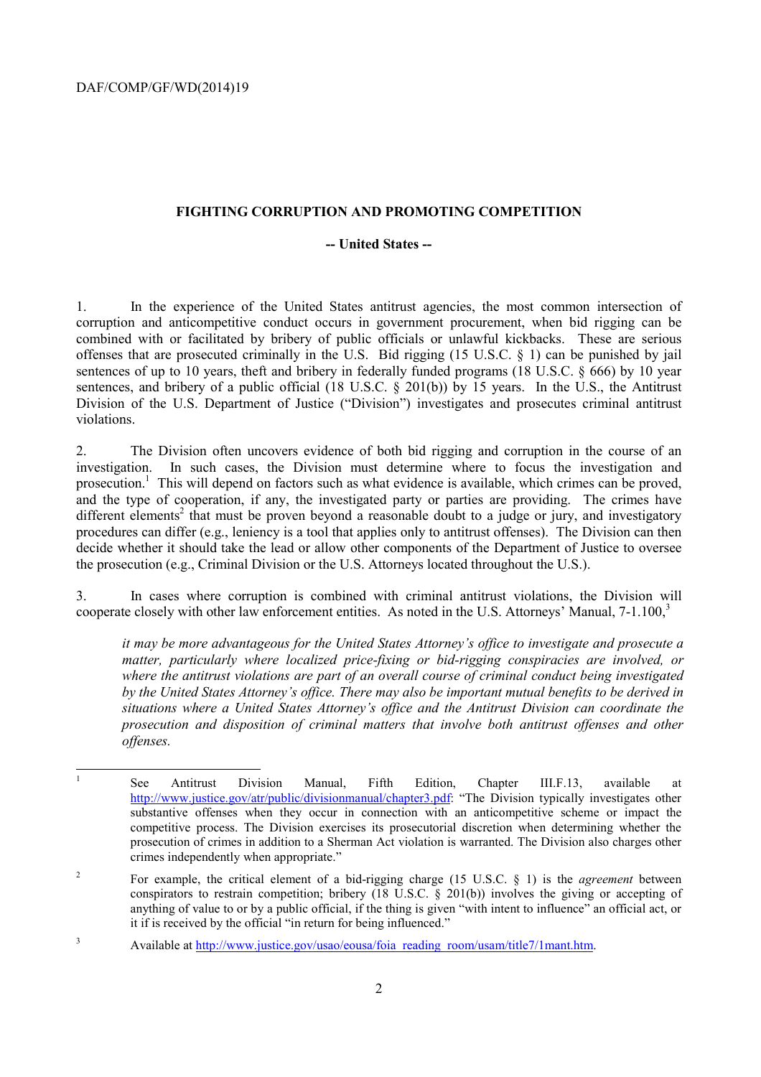## **FIGHTING CORRUPTION AND PROMOTING COMPETITION**

## **-- United States --**

1. In the experience of the United States antitrust agencies, the most common intersection of corruption and anticompetitive conduct occurs in government procurement, when bid rigging can be combined with or facilitated by bribery of public officials or unlawful kickbacks. These are serious offenses that are prosecuted criminally in the U.S. Bid rigging (15 U.S.C. § 1) can be punished by jail sentences of up to 10 years, theft and bribery in federally funded programs (18 U.S.C.  $\S$  666) by 10 year sentences, and bribery of a public official (18 U.S.C. § 201(b)) by 15 years. In the U.S., the Antitrust Division of the U.S. Department of Justice ("Division") investigates and prosecutes criminal antitrust violations.

2. The Division often uncovers evidence of both bid rigging and corruption in the course of an investigation. In such cases, the Division must determine where to focus the investigation and prosecution.<sup>1</sup> This will depend on factors such as what evidence is available, which crimes can be proved, and the type of cooperation, if any, the investigated party or parties are providing. The crimes have different elements<sup>2</sup> that must be proven beyond a reasonable doubt to a judge or jury, and investigatory procedures can differ (e.g., leniency is a tool that applies only to antitrust offenses). The Division can then decide whether it should take the lead or allow other components of the Department of Justice to oversee the prosecution (e.g., Criminal Division or the U.S. Attorneys located throughout the U.S.).

3. In cases where corruption is combined with criminal antitrust violations, the Division will cooperate closely with other law enforcement entities. As noted in the U.S. Attorneys' Manual, 7-1.100,<sup>3</sup>

*it may be more advantageous for the United States Attorney's office to investigate and prosecute a matter, particularly where localized price-fixing or bid-rigging conspiracies are involved, or where the antitrust violations are part of an overall course of criminal conduct being investigated by the United States Attorney's office. There may also be important mutual benefits to be derived in situations where a United States Attorney's office and the Antitrust Division can coordinate the prosecution and disposition of criminal matters that involve both antitrust offenses and other offenses.* 

 competitive process. The Division exercises its prosecutorial discretion when determining whether the <sup>1</sup> See Antitrust Division Manual, Fifth Edition, Chapter III.F.13, available at http://www.justice.gov/atr/public/divisionmanual/chapter3.pdf: "The Division typically investigates other substantive offenses when they occur in connection with an anticompetitive scheme or impact the prosecution of crimes in addition to a Sherman Act violation is warranted. The Division also charges other crimes independently when appropriate."

 $\overline{2}$ For example, the critical element of a bid-rigging charge (15 U.S.C.  $\S$  1) is the *agreement* between conspirators to restrain competition; bribery (18 U.S.C. § 201(b)) involves the giving or accepting of anything of value to or by a public official, if the thing is given "with intent to influence" an official act, or it if is received by the official "in return for being influenced."

<sup>&</sup>lt;sup>3</sup> Available at http://www.justice.gov/usao/eousa/foia\_reading\_room/usam/title7/1mant.htm.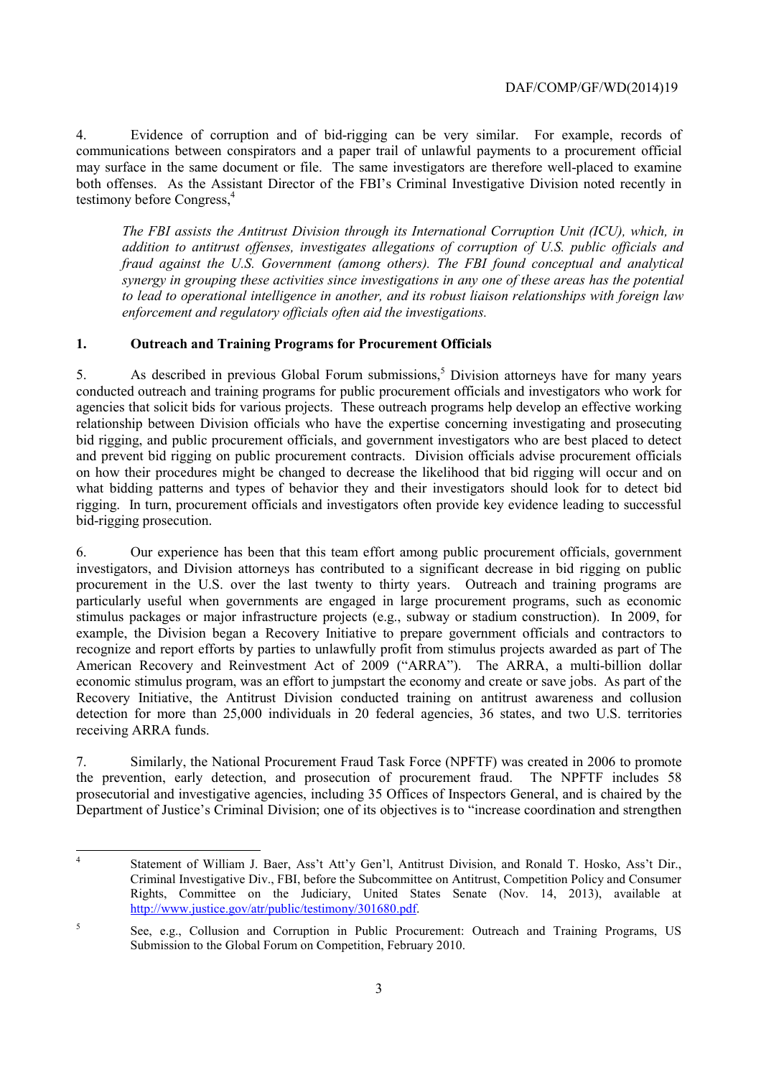4. Evidence of corruption and of bid-rigging can be very similar. For example, records of communications between conspirators and a paper trail of unlawful payments to a procurement official may surface in the same document or file. The same investigators are therefore well-placed to examine both offenses. As the Assistant Director of the FBI's Criminal Investigative Division noted recently in testimony before Congress,<sup>4</sup>

*The FBI assists the Antitrust Division through its International Corruption Unit (ICU), which, in addition to antitrust offenses, investigates allegations of corruption of U.S. public officials and fraud against the U.S. Government (among others). The FBI found conceptual and analytical synergy in grouping these activities since investigations in any one of these areas has the potential to lead to operational intelligence in another, and its robust liaison relationships with foreign law enforcement and regulatory officials often aid the investigations.* 

# **1. Outreach and Training Programs for Procurement Officials**

 agencies that solicit bids for various projects. These outreach programs help develop an effective working rigging. In turn, procurement officials and investigators often provide key evidence leading to successful 5. As described in previous Global Forum submissions,<sup>5</sup> Division attorneys have for many years conducted outreach and training programs for public procurement officials and investigators who work for relationship between Division officials who have the expertise concerning investigating and prosecuting bid rigging, and public procurement officials, and government investigators who are best placed to detect and prevent bid rigging on public procurement contracts. Division officials advise procurement officials on how their procedures might be changed to decrease the likelihood that bid rigging will occur and on what bidding patterns and types of behavior they and their investigators should look for to detect bid bid-rigging prosecution.

 American Recovery and Reinvestment Act of 2009 ("ARRA"). The ARRA, a multi-billion dollar economic stimulus program, was an effort to jumpstart the economy and create or save jobs. As part of the 6. Our experience has been that this team effort among public procurement officials, government investigators, and Division attorneys has contributed to a significant decrease in bid rigging on public procurement in the U.S. over the last twenty to thirty years. Outreach and training programs are particularly useful when governments are engaged in large procurement programs, such as economic stimulus packages or major infrastructure projects (e.g., subway or stadium construction). In 2009, for example, the Division began a Recovery Initiative to prepare government officials and contractors to recognize and report efforts by parties to unlawfully profit from stimulus projects awarded as part of The Recovery Initiative, the Antitrust Division conducted training on antitrust awareness and collusion detection for more than 25,000 individuals in 20 federal agencies, 36 states, and two U.S. territories receiving ARRA funds.

7. Similarly, the National Procurement Fraud Task Force (NPFTF) was created in 2006 to promote the prevention, early detection, and prosecution of procurement fraud. The NPFTF includes 58 prosecutorial and investigative agencies, including 35 Offices of Inspectors General, and is chaired by the Department of Justice's Criminal Division; one of its objectives is to "increase coordination and strengthen

 $\overline{a}$  Criminal Investigative Div., FBI, before the Subcommittee on Antitrust, Competition Policy and Consumer Statement of William J. Baer, Ass't Att'y Gen'l, Antitrust Division, and Ronald T. Hosko, Ass't Dir., Rights, Committee on the Judiciary, United States Senate (Nov. 14, 2013), available at http://www.justice.gov/atr/public/testimony/301680.pdf.

<sup>&</sup>lt;sup>5</sup> See, e.g., Collusion and Corruption in Public Procurement: Outreach and Training Programs, US Submission to the Global Forum on Competition, February 2010.